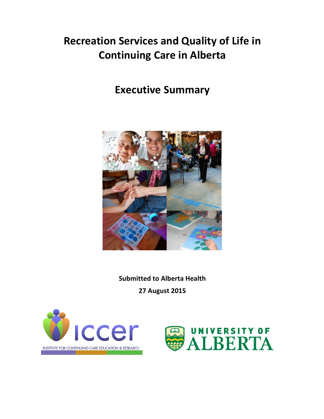# **Recreation Services and Quality of Life in Continuing Care in Alberta**

## **Executive Summary**



**Submitted to Alberta Health 27 August 2015**



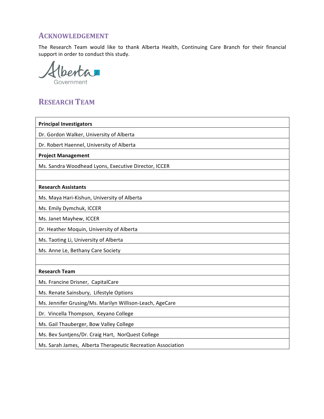### **ACKNOWLEDGEMENT**

The Research Team would like to thank Alberta Health, Continuing Care Branch for their financial support in order to conduct this study.

senta Government

## **RESEARCH TEAM**

| <b>Principal Investigators</b>                              |
|-------------------------------------------------------------|
| Dr. Gordon Walker, University of Alberta                    |
| Dr. Robert Haennel, University of Alberta                   |
| <b>Project Management</b>                                   |
| Ms. Sandra Woodhead Lyons, Executive Director, ICCER        |
|                                                             |
| <b>Research Assistants</b>                                  |
| Ms. Maya Hari-Kishun, University of Alberta                 |
| Ms. Emily Dymchuk, ICCER                                    |
| Ms. Janet Mayhew, ICCER                                     |
| Dr. Heather Moquin, University of Alberta                   |
| Ms. Taoting Li, University of Alberta                       |
| Ms. Anne Le, Bethany Care Society                           |
|                                                             |
| <b>Research Team</b>                                        |
| Ms. Francine Drisner, CapitalCare                           |
| Ms. Renate Sainsbury, Lifestyle Options                     |
| Ms. Jennifer Grusing/Ms. Marilyn Willison-Leach, AgeCare    |
| Dr. Vincella Thompson, Keyano College                       |
| Ms. Gail Thauberger, Bow Valley College                     |
| Ms. Bev Suntjens/Dr. Craig Hart, NorQuest College           |
| Ms. Sarah James, Alberta Therapeutic Recreation Association |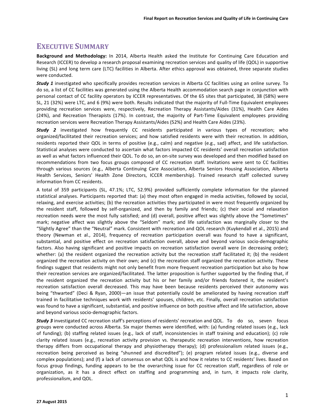### **EXECUTIVE SUMMARY**

**Background and Methodology:** In 2014, Alberta Health asked the Institute for Continuing Care Education and Research (ICCER) to develop a research proposal examining recreation services and quality of life (QOL) in supportive living (SL) and long term care (LTC) facilities in Alberta. After ethics approval was obtained, three separate studies were conducted.

**Study** 1 investigated who specifically provides recreation services in Alberta CC facilities using an online survey. To do so, a list of CC facilities was generated using the Alberta Health accommodation search page in conjunction with personal contact of CC facility operators by ICCER representatives. Of the 65 sites that participated, 38 (58%) were SL, 21 (32%) were LTC, and 6 (9%) were both. Results indicated that the majority of Full-Time Equivalent employees providing recreation services were, respectively, Recreation Therapy Assistants/Aides (31%), Health Care Aides (24%), and Recreation Therapists (17%). In contrast, the majority of Part-Time Equivalent employees providing recreation services were Recreation Therapy Assistants/Aides (52%) and Health Care Aides (23%).

**Study** 2 investigated how frequently CC residents participated in various types of recreation; who organized/facilitated their recreation services; and how satisfied residents were with their recreation. In addition, residents reported their QOL in terms of positive (e.g., calm) and negative (e.g., sad) affect, and life satisfaction. Statistical analyses were conducted to ascertain what factors impacted CC residents' overall recreation satisfaction as well as what factors influenced their QOL. To do so, an on-site survey was developed and then modified based on recommendations from two focus groups composed of CC recreation staff. Invitations were sent to CC facilities through various sources (e.g., Alberta Continuing Care Association, Alberta Seniors Housing Association, Alberta Health Services, Seniors' Health Zone Directors, ICCER membership). Trained research staff collected survey information from CC residents.

A total of 359 participants (SL, 47.1%; LTC, 52.9%) provided sufficiently complete information for the planned statistical analyses. Participants reported that: (a) they most often engaged in media activities, followed by social, relaxing, and exercise activities; (b) the recreation activities they participated in were most frequently organized by the resident staff, followed by self-organized, and then by family and friends; (c) their social and relaxation recreation needs were the most fully satisfied; and (d) overall, positive affect was slightly above the "Sometimes" mark; negative affect was slightly above the "Seldom" mark; and life satisfaction was marginally closer to the "Slightly Agree" than the "Neutral" mark. Consistent with recreation and QOL research (Kuykendall et al., 2015) and theory (Newman et al., 2014), frequency of recreation participation overall was found to have a significant, substantial, and positive effect on recreation satisfaction overall, above and beyond various socio-demographic factors. Also having significant and positive impacts on recreation satisfaction overall were (in decreasing order); whether: (a) the resident organized the recreation activity but the recreation staff facilitated it; (b) the resident organized the recreation activity on their own; and (c) the recreation staff organized the recreation activity. These findings suggest that residents might not only benefit from more frequent recreation participation but also by how their recreation services are organized/facilitated. The latter proposition is further supported by the finding that, if the resident organized the recreation activity but his or her family and/or friends fostered it, the resident's recreation satisfaction overall decreased. This may have been because residents perceived their autonomy was being "thwarted" (Deci & Ryan, 2000)—an issue that potentially could be ameliorated by having recreation staff trained in facilitative techniques work with residents' spouses, children, etc. Finally, overall recreation satisfaction was found to have a significant, substantial, and positive influence on both positive affect and life satisfaction, above and beyond various socio-demographic factors.

**Study 3** investigated CC recreation staff's perceptions of residents' recreation and QOL. To do so, seven focus groups were conducted across Alberta. Six major themes were identified, with: (a) funding related issues (e.g., lack of funding); (b) staffing related issues (e.g., lack of staff, inconsistencies in staff training and education); (c) role clarity related issues (e.g., recreation activity provision vs. therapeutic recreation interventions, how recreation therapy differs from occupational therapy and physiotherapy therapy); (d) professionalism related issues (e.g., recreation being perceived as being "shunned and discredited"); (e) program related issues (e.g., diverse and complex populations); and (f) a lack of consensus on what QOL is and how it relates to CC residents' lives. Based on focus group findings, funding appears to be the overarching issue for CC recreation staff, regardless of role or organization, as it has a direct effect on staffing and programming and, in turn, it impacts role clarity, professionalism, and QOL.